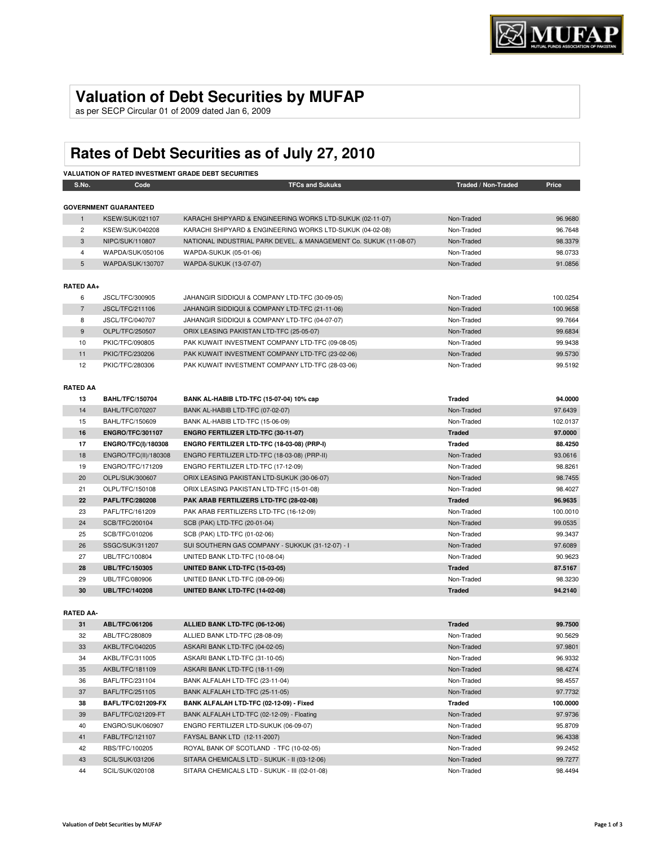## **Valuation of Debt Securities by MUFAP**

as per SECP Circular 01 of 2009 dated Jan 6, 2009

## **Rates of Debt Securities as of July 27, 2010**

|                  |                              | <b>VALUATION OF RATED INVESTMENT GRADE DEBT SECURITIES</b>        |                            |          |
|------------------|------------------------------|-------------------------------------------------------------------|----------------------------|----------|
| S.No.            | Code                         | <b>TFCs and Sukuks</b>                                            | <b>Traded / Non-Traded</b> | Price    |
|                  |                              |                                                                   |                            |          |
|                  | <b>GOVERNMENT GUARANTEED</b> |                                                                   |                            |          |
| $\mathbf{1}$     | KSEW/SUK/021107              | KARACHI SHIPYARD & ENGINEERING WORKS LTD-SUKUK (02-11-07)         | Non-Traded                 | 96.9680  |
| $\overline{2}$   | <b>KSEW/SUK/040208</b>       | KARACHI SHIPYARD & ENGINEERING WORKS LTD-SUKUK (04-02-08)         | Non-Traded                 | 96.7648  |
| 3                | NIPC/SUK/110807              | NATIONAL INDUSTRIAL PARK DEVEL. & MANAGEMENT Co. SUKUK (11-08-07) | Non-Traded                 | 98.3379  |
| 4                | WAPDA/SUK/050106             | WAPDA-SUKUK (05-01-06)                                            | Non-Traded                 | 98.0733  |
| 5                | WAPDA/SUK/130707             | WAPDA-SUKUK (13-07-07)                                            | Non-Traded                 | 91.0856  |
| <b>RATED AA+</b> |                              |                                                                   |                            |          |
| 6                | JSCL/TFC/300905              | JAHANGIR SIDDIQUI & COMPANY LTD-TFC (30-09-05)                    | Non-Traded                 | 100.0254 |
| $\overline{7}$   | JSCL/TFC/211106              | JAHANGIR SIDDIQUI & COMPANY LTD-TFC (21-11-06)                    | Non-Traded                 | 100.9658 |
| 8                | JSCL/TFC/040707              | JAHANGIR SIDDIQUI & COMPANY LTD-TFC (04-07-07)                    | Non-Traded                 | 99.7664  |
| 9                | OLPL/TFC/250507              | ORIX LEASING PAKISTAN LTD-TFC (25-05-07)                          | Non-Traded                 | 99.6834  |
| 10               | PKIC/TFC/090805              | PAK KUWAIT INVESTMENT COMPANY LTD-TFC (09-08-05)                  | Non-Traded                 | 99.9438  |
| 11               | PKIC/TFC/230206              | PAK KUWAIT INVESTMENT COMPANY LTD-TFC (23-02-06)                  | Non-Traded                 | 99.5730  |
| 12               | PKIC/TFC/280306              | PAK KUWAIT INVESTMENT COMPANY LTD-TFC (28-03-06)                  | Non-Traded                 | 99.5192  |
|                  |                              |                                                                   |                            |          |
| <b>RATED AA</b>  |                              |                                                                   |                            |          |
| 13               | <b>BAHL/TFC/150704</b>       | BANK AL-HABIB LTD-TFC (15-07-04) 10% cap                          | <b>Traded</b>              | 94.0000  |
| 14               | <b>BAHL/TFC/070207</b>       | BANK AL-HABIB LTD-TFC (07-02-07)                                  | Non-Traded                 | 97.6439  |
| 15               | BAHL/TFC/150609              | BANK AL-HABIB LTD-TFC (15-06-09)                                  | Non-Traded                 | 102.0137 |
| 16               | <b>ENGRO/TFC/301107</b>      | ENGRO FERTILIZER LTD-TFC (30-11-07)                               | <b>Traded</b>              | 97.0000  |
| 17               | ENGRO/TFC(I)/180308          | ENGRO FERTILIZER LTD-TFC (18-03-08) (PRP-I)                       | <b>Traded</b>              | 88.4250  |
| 18               | ENGRO/TFC(II)/180308         | ENGRO FERTILIZER LTD-TFC (18-03-08) (PRP-II)                      | Non-Traded                 | 93.0616  |
| 19               | ENGRO/TFC/171209             | ENGRO FERTILIZER LTD-TFC (17-12-09)                               | Non-Traded                 | 98.8261  |
| 20               | OLPL/SUK/300607              | ORIX LEASING PAKISTAN LTD-SUKUK (30-06-07)                        | Non-Traded                 | 98.7455  |
| 21               | OLPL/TFC/150108              | ORIX LEASING PAKISTAN LTD-TFC (15-01-08)                          | Non-Traded                 | 98.4027  |
| 22               | <b>PAFL/TFC/280208</b>       | PAK ARAB FERTILIZERS LTD-TFC (28-02-08)                           | <b>Traded</b>              | 96.9635  |
| 23               | PAFL/TFC/161209              | PAK ARAB FERTILIZERS LTD-TFC (16-12-09)                           | Non-Traded                 | 100.0010 |
| 24               | SCB/TFC/200104               | SCB (PAK) LTD-TFC (20-01-04)                                      | Non-Traded                 | 99.0535  |
| 25               | SCB/TFC/010206               | SCB (PAK) LTD-TFC (01-02-06)                                      | Non-Traded                 | 99.3437  |
| 26               | SSGC/SUK/311207              | SUI SOUTHERN GAS COMPANY - SUKKUK (31-12-07) - I                  | Non-Traded                 | 97.6089  |
| 27               | UBL/TFC/100804               | UNITED BANK LTD-TFC (10-08-04)                                    | Non-Traded                 | 90.9623  |
| 28               | <b>UBL/TFC/150305</b>        | UNITED BANK LTD-TFC (15-03-05)                                    | <b>Traded</b>              | 87.5167  |
| 29               | UBL/TFC/080906               | UNITED BANK LTD-TFC (08-09-06)                                    | Non-Traded                 | 98.3230  |
| 30               | <b>UBL/TFC/140208</b>        | UNITED BANK LTD-TFC (14-02-08)                                    | <b>Traded</b>              | 94.2140  |
|                  |                              |                                                                   |                            |          |
| <b>RATED AA-</b> |                              |                                                                   |                            |          |
| 31               | ABL/TFC/061206               | ALLIED BANK LTD-TFC (06-12-06)                                    | <b>Traded</b>              | 99.7500  |
|                  | ADL <b>TEO</b> (00000)       | 111EBA B1121EBA EBA                                               |                            |          |

| 31 | ABL/TFC/061206            | ALLIED BANK LTD-TFC (06-12-06)               | <b>Traded</b> | 99.7500  |
|----|---------------------------|----------------------------------------------|---------------|----------|
| 32 | ABL/TFC/280809            | ALLIED BANK LTD-TFC (28-08-09)               | Non-Traded    | 90.5629  |
| 33 | AKBL/TFC/040205           | ASKARI BANK LTD-TFC (04-02-05)               | Non-Traded    | 97.9801  |
| 34 | AKBL/TFC/311005           | ASKARI BANK LTD-TFC (31-10-05)               | Non-Traded    | 96.9332  |
| 35 | AKBL/TFC/181109           | ASKARI BANK LTD-TFC (18-11-09)               | Non-Traded    | 98.4274  |
| 36 | BAFL/TFC/231104           | BANK ALFALAH LTD-TFC (23-11-04)              | Non-Traded    | 98.4557  |
| 37 | BAFL/TFC/251105           | BANK ALFALAH LTD-TFC (25-11-05)              | Non-Traded    | 97.7732  |
| 38 | <b>BAFL/TFC/021209-FX</b> | BANK ALFALAH LTD-TFC (02-12-09) - Fixed      | Traded        | 100.0000 |
|    |                           |                                              |               |          |
| 39 | BAFL/TFC/021209-FT        | BANK ALFALAH LTD-TFC (02-12-09) - Floating   | Non-Traded    | 97.9736  |
| 40 | ENGRO/SUK/060907          | ENGRO FERTILIZER LTD-SUKUK (06-09-07)        | Non-Traded    | 95.8709  |
| 41 | FABL/TFC/121107           | FAYSAL BANK LTD (12-11-2007)                 | Non-Traded    | 96.4338  |
| 42 | RBS/TFC/100205            | ROYAL BANK OF SCOTLAND - TFC (10-02-05)      | Non-Traded    | 99.2452  |
| 43 | SCIL/SUK/031206           | SITARA CHEMICALS LTD - SUKUK - II (03-12-06) | Non-Traded    | 99.7277  |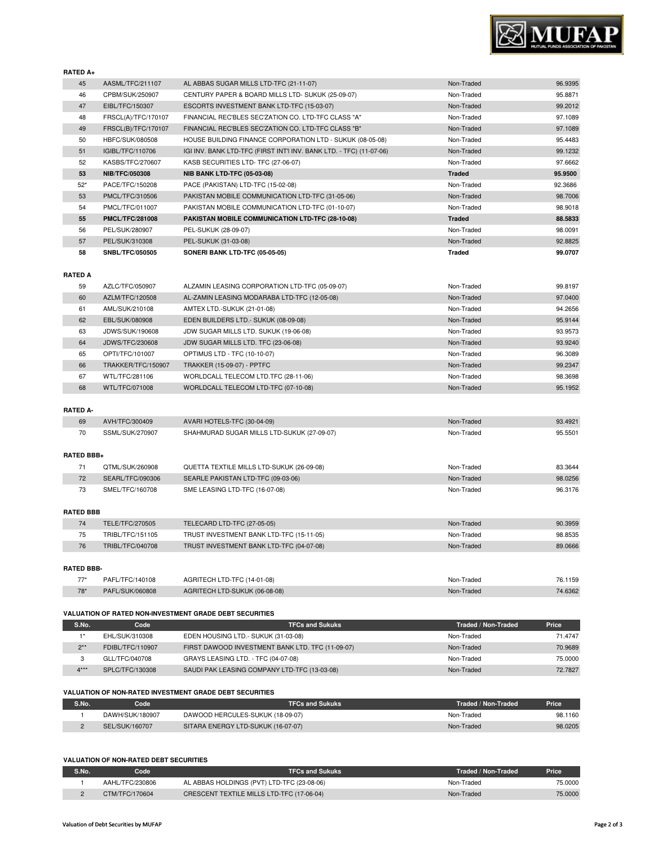**RATED A+**

m.

## **VALUATION OF NON-RATED DEBT SECURITIES**

**VALUATION OF NON-RATED INVESTMENT GRADE DEBT SECURITIES**

| S.No. | Code            | <b>TFCs and Sukuks</b>                     | Traded / Non-Traded | <b>Price</b> |
|-------|-----------------|--------------------------------------------|---------------------|--------------|
|       | AAHL/TFC/230806 | AL ABBAS HOLDINGS (PVT) LTD-TFC (23-08-06) | Non-Traded          | 75.0000      |
|       | CTM/TFC/170604  | CRESCENT TEXTILE MILLS LTD-TFC (17-06-04)  | Non-Traded          | 75.0000      |

**S.No. Code TFCs and Sukuks Traded / Non-Traded Price** 1 DAWH/SUK/180907 DAWOOD HERCULES-SUKUK (18-09-07) Non-Traded Non-Traded 98.1160 2 SEL/SUK/160707 SITARA ENERGY LTD-SUKUK (16-07-07) Non-Traded Non-Traded 98.0205

1\* EHL/SUK/310308 EDEN HOUSING LTD.- SUKUK (31-03-08) Non-Traded Non-Traded 71.4747 2\*\* FDIBL/TFC/110907 FIRST DAWOOD INVESTMENT BANK LTD. TFC (11-09-07) Non-Traded Non-Traded 70.9689 3 GLL/TFC/040708 GRAYS LEASING LTD. - TFC (04-07-08) CHANGER CONSIDERING MON-Traded 75.0000 4\*\*\* SPLC/TFC/130308 SAUDI PAK LEASING COMPANY LTD-TFC (13-03-08) Non-Traded Non-Traded 72.7827

| <b>RATED A</b>  |                   |                        |                                                                |                     |         |
|-----------------|-------------------|------------------------|----------------------------------------------------------------|---------------------|---------|
|                 | 59                | AZLC/TFC/050907        | ALZAMIN LEASING CORPORATION LTD-TFC (05-09-07)                 | Non-Traded          | 99.8197 |
|                 | 60                | AZLM/TFC/120508        | AL-ZAMIN LEASING MODARABA LTD-TFC (12-05-08)                   | Non-Traded          | 97.0400 |
|                 | 61                | AML/SUK/210108         | AMTEX LTD.-SUKUK (21-01-08)                                    | Non-Traded          | 94.2656 |
|                 | 62                | EBL/SUK/080908         | EDEN BUILDERS LTD.- SUKUK (08-09-08)                           | Non-Traded          | 95.9144 |
|                 | 63                | JDWS/SUK/190608        | JDW SUGAR MILLS LTD. SUKUK (19-06-08)                          | Non-Traded          | 93.9573 |
|                 | 64                | <b>JDWS/TFC/230608</b> | JDW SUGAR MILLS LTD. TFC (23-06-08)                            | Non-Traded          | 93.9240 |
|                 | 65                | OPTI/TFC/101007        | OPTIMUS LTD - TFC (10-10-07)                                   | Non-Traded          | 96.3089 |
|                 | 66                | TRAKKER/TFC/150907     | TRAKKER (15-09-07) - PPTFC                                     | Non-Traded          | 99.2347 |
|                 | 67                | WTL/TFC/281106         | WORLDCALL TELECOM LTD.TFC (28-11-06)                           | Non-Traded          | 98.3698 |
|                 | 68                | WTL/TFC/071008         | WORLDCALL TELECOM LTD-TFC (07-10-08)                           | Non-Traded          | 95.1952 |
| <b>RATED A-</b> |                   |                        |                                                                |                     |         |
|                 | 69                | AVH/TFC/300409         | AVARI HOTELS-TFC (30-04-09)                                    | Non-Traded          | 93.4921 |
|                 | 70                | SSML/SUK/270907        | SHAHMURAD SUGAR MILLS LTD-SUKUK (27-09-07)                     | Non-Traded          | 95.5501 |
|                 | <b>RATED BBB+</b> |                        |                                                                |                     |         |
|                 | 71                | QTML/SUK/260908        | QUETTA TEXTILE MILLS LTD-SUKUK (26-09-08)                      | Non-Traded          | 83.3644 |
|                 | 72                | SEARL/TFC/090306       | SEARLE PAKISTAN LTD-TFC (09-03-06)                             | Non-Traded          | 98.0256 |
|                 | 73                | SMEL/TFC/160708        | SME LEASING LTD-TFC (16-07-08)                                 | Non-Traded          | 96.3176 |
|                 | <b>RATED BBB</b>  |                        |                                                                |                     |         |
|                 | 74                | TELE/TFC/270505        | TELECARD LTD-TFC (27-05-05)                                    | Non-Traded          | 90.3959 |
|                 | 75                | TRIBL/TFC/151105       | TRUST INVESTMENT BANK LTD-TFC (15-11-05)                       | Non-Traded          | 98.8535 |
|                 | 76                | TRIBL/TFC/040708       | TRUST INVESTMENT BANK LTD-TFC (04-07-08)                       | Non-Traded          | 89.0666 |
|                 | <b>RATED BBB-</b> |                        |                                                                |                     |         |
|                 | $77*$             | PAFL/TFC/140108        | AGRITECH LTD-TFC (14-01-08)                                    | Non-Traded          | 76.1159 |
|                 | $78*$             | PAFL/SUK/060808        | AGRITECH LTD-SUKUK (06-08-08)                                  | Non-Traded          | 74.6362 |
|                 |                   |                        | <b>VALUATION OF RATED NON-INVESTMENT GRADE DEBT SECURITIES</b> |                     |         |
|                 | S.No.             | Code                   | <b>TFCs and Sukuks</b>                                         | Traded / Non-Traded | Price   |

| 45    | AASML/TFC/211107       | AL ABBAS SUGAR MILLS LTD-TFC (21-11-07)                             | Non-Traded    | 96.9395 |
|-------|------------------------|---------------------------------------------------------------------|---------------|---------|
| 46    | CPBM/SUK/250907        | CENTURY PAPER & BOARD MILLS LTD- SUKUK (25-09-07)                   | Non-Traded    | 95.8871 |
| 47    | EIBL/TFC/150307        | ESCORTS INVESTMENT BANK LTD-TFC (15-03-07)                          | Non-Traded    | 99.2012 |
| 48    | FRSCL(A)/TFC/170107    | FINANCIAL REC'BLES SEC'ZATION CO. LTD-TFC CLASS "A"                 | Non-Traded    | 97.1089 |
| 49    | FRSCL(B)/TFC/170107    | FINANCIAL REC'BLES SEC'ZATION CO. LTD-TFC CLASS "B"                 | Non-Traded    | 97.1089 |
| 50    | HBFC/SUK/080508        | HOUSE BUILDING FINANCE CORPORATION LTD - SUKUK (08-05-08)           | Non-Traded    | 95.4483 |
| 51    | IGIBL/TFC/110706       | IGI INV. BANK LTD-TFC (FIRST INT'I INV. BANK LTD. - TFC) (11-07-06) | Non-Traded    | 99.1232 |
| 52    | KASBS/TFC/270607       | KASB SECURITIES LTD- TFC (27-06-07)                                 | Non-Traded    | 97.6662 |
|       |                        |                                                                     |               |         |
| 53    | <b>NIB/TFC/050308</b>  | <b>NIB BANK LTD-TFC (05-03-08)</b>                                  | <b>Traded</b> | 95.9500 |
| $52*$ | PACE/TFC/150208        | PACE (PAKISTAN) LTD-TFC (15-02-08)                                  | Non-Traded    | 92.3686 |
| 53    | PMCL/TFC/310506        | PAKISTAN MOBILE COMMUNICATION LTD-TFC (31-05-06)                    | Non-Traded    | 98.7006 |
| 54    | PMCL/TFC/011007        | PAKISTAN MOBILE COMMUNICATION LTD-TFC (01-10-07)                    | Non-Traded    | 98.9018 |
| 55    | <b>PMCL/TFC/281008</b> | PAKISTAN MOBILE COMMUNICATION LTD-TFC (28-10-08)                    | <b>Traded</b> | 88.5833 |
| 56    | PEL/SUK/280907         | PEL-SUKUK (28-09-07)                                                | Non-Traded    | 98.0091 |
| 57    | PEL/SUK/310308         | PEL-SUKUK (31-03-08)                                                | Non-Traded    | 92.8825 |